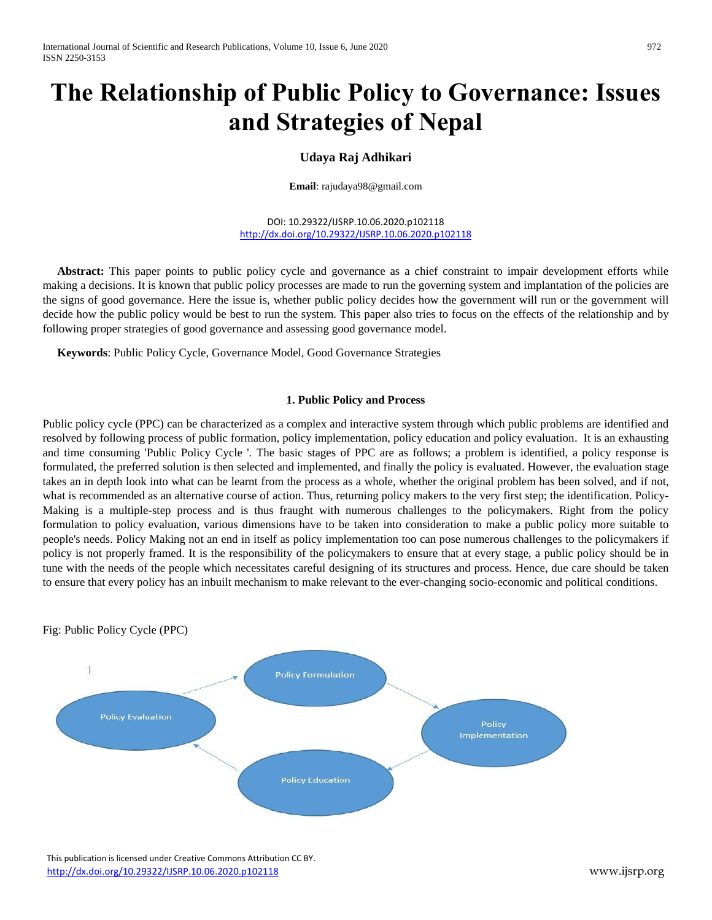# **The Relationship of Public Policy to Governance: Issues and Strategies of Nepal**

# **Udaya Raj Adhikari**

**Email**: rajudaya98@gmail.com

DOI: 10.29322/IJSRP.10.06.2020.p102118 <http://dx.doi.org/10.29322/IJSRP.10.06.2020.p102118>

 **Abstract:** This paper points to public policy cycle and governance as a chief constraint to impair development efforts while making a decisions. It is known that public policy processes are made to run the governing system and implantation of the policies are the signs of good governance. Here the issue is, whether public policy decides how the government will run or the government will decide how the public policy would be best to run the system. This paper also tries to focus on the effects of the relationship and by following proper strategies of good governance and assessing good governance model.

 **Keywords**: Public Policy Cycle, Governance Model, Good Governance Strategies

#### **1. Public Policy and Process**

Public policy cycle (PPC) can be characterized as a complex and interactive system through which public problems are identified and resolved by following process of public formation, policy implementation, policy education and policy evaluation. It is an exhausting and time consuming 'Public Policy Cycle '. The basic stages of PPC are as follows; a problem is identified, a policy response is formulated, the preferred solution is then selected and implemented, and finally the policy is evaluated. However, the evaluation stage takes an in depth look into what can be learnt from the process as a whole, whether the original problem has been solved, and if not, what is recommended as an alternative course of action. Thus, returning policy makers to the very first step; the identification. Policy-Making is a multiple-step process and is thus fraught with numerous challenges to the policymakers. Right from the policy formulation to policy evaluation, various dimensions have to be taken into consideration to make a public policy more suitable to people's needs. Policy Making not an end in itself as policy implementation too can pose numerous challenges to the policymakers if policy is not properly framed. It is the responsibility of the policymakers to ensure that at every stage, a public policy should be in tune with the needs of the people which necessitates careful designing of its structures and process. Hence, due care should be taken to ensure that every policy has an inbuilt mechanism to make relevant to the ever-changing socio-economic and political conditions.



 This publication is licensed under Creative Commons Attribution CC BY. <http://dx.doi.org/10.29322/IJSRP.10.06.2020.p102118> www.ijsrp.org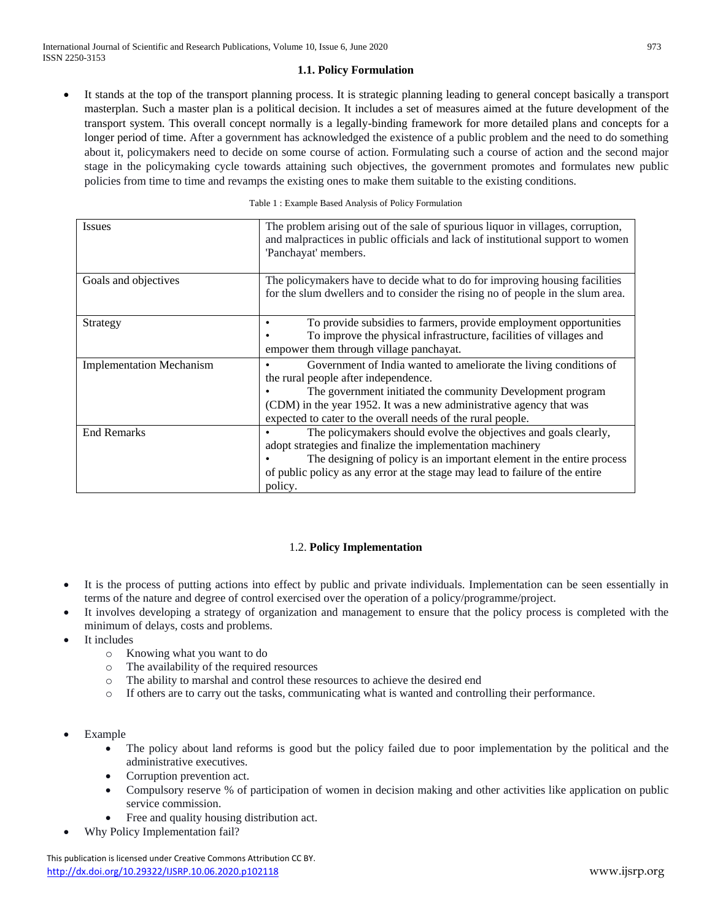## **1.1. Policy Formulation**

 It stands at the top of the transport planning process. It is strategic planning leading to general concept basically a transport masterplan. Such a master plan is a political decision. It includes a set of measures aimed at the future development of the transport system. This overall concept normally is a legally-binding framework for more detailed plans and concepts for a longer period of time. After a government has acknowledged the existence of a public problem and the need to do something about it, policymakers need to decide on some course of action. Formulating such a course of action and the second major stage in the policymaking cycle towards attaining such objectives, the government promotes and formulates new public policies from time to time and revamps the existing ones to make them suitable to the existing conditions.

|  |  | Table 1: Example Based Analysis of Policy Formulation |
|--|--|-------------------------------------------------------|

| Issues                          | The problem arising out of the sale of spurious liquor in villages, corruption,<br>and malpractices in public officials and lack of institutional support to women<br>'Panchayat' members.                                                                                                                    |
|---------------------------------|---------------------------------------------------------------------------------------------------------------------------------------------------------------------------------------------------------------------------------------------------------------------------------------------------------------|
| Goals and objectives            | The policymakers have to decide what to do for improving housing facilities<br>for the slum dwellers and to consider the rising no of people in the slum area.                                                                                                                                                |
| Strategy                        | To provide subsidies to farmers, provide employment opportunities<br>To improve the physical infrastructure, facilities of villages and<br>empower them through village panchayat.                                                                                                                            |
| <b>Implementation Mechanism</b> | Government of India wanted to ameliorate the living conditions of<br>the rural people after independence.<br>The government initiated the community Development program<br>(CDM) in the year 1952. It was a new administrative agency that was<br>expected to cater to the overall needs of the rural people. |
| <b>End Remarks</b>              | The policymakers should evolve the objectives and goals clearly,<br>adopt strategies and finalize the implementation machinery<br>The designing of policy is an important element in the entire process<br>of public policy as any error at the stage may lead to failure of the entire<br>policy.            |

# 1.2. **Policy Implementation**

- It is the process of putting actions into effect by public and private individuals. Implementation can be seen essentially in terms of the nature and degree of control exercised over the operation of a policy/programme/project.
- It involves developing a strategy of organization and management to ensure that the policy process is completed with the minimum of delays, costs and problems.
- It includes
	- o Knowing what you want to do
	- o The availability of the required resources
	- o The ability to marshal and control these resources to achieve the desired end
	- o If others are to carry out the tasks, communicating what is wanted and controlling their performance.
- Example
	- The policy about land reforms is good but the policy failed due to poor implementation by the political and the administrative executives.
	- Corruption prevention act.
	- Compulsory reserve % of participation of women in decision making and other activities like application on public service commission.
	- Free and quality housing distribution act.
- Why Policy Implementation fail?

 This publication is licensed under Creative Commons Attribution CC BY. <http://dx.doi.org/10.29322/IJSRP.10.06.2020.p102118> www.ijsrp.org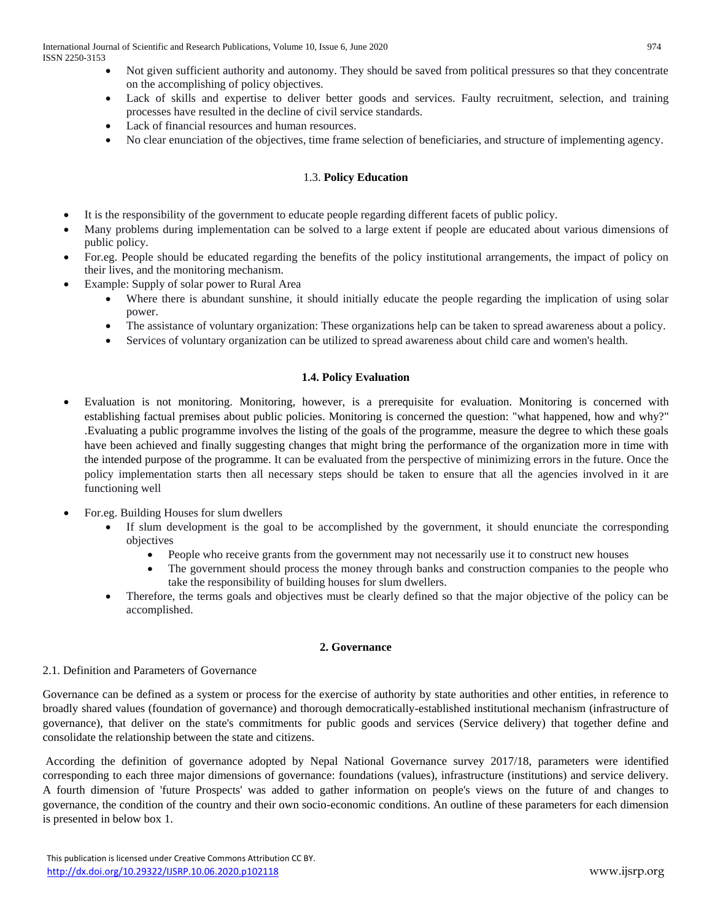- Not given sufficient authority and autonomy. They should be saved from political pressures so that they concentrate on the accomplishing of policy objectives.
- Lack of skills and expertise to deliver better goods and services. Faulty recruitment, selection, and training processes have resulted in the decline of civil service standards.
- Lack of financial resources and human resources.
- No clear enunciation of the objectives, time frame selection of beneficiaries, and structure of implementing agency.

# 1.3. **Policy Education**

- It is the responsibility of the government to educate people regarding different facets of public policy.
- Many problems during implementation can be solved to a large extent if people are educated about various dimensions of public policy.
- For.eg. People should be educated regarding the benefits of the policy institutional arrangements, the impact of policy on their lives, and the monitoring mechanism.
- Example: Supply of solar power to Rural Area
	- Where there is abundant sunshine, it should initially educate the people regarding the implication of using solar power.
	- The assistance of voluntary organization: These organizations help can be taken to spread awareness about a policy.
	- Services of voluntary organization can be utilized to spread awareness about child care and women's health.

# **1.4. Policy Evaluation**

- Evaluation is not monitoring. Monitoring, however, is a prerequisite for evaluation. Monitoring is concerned with establishing factual premises about public policies. Monitoring is concerned the question: "what happened, how and why?" .Evaluating a public programme involves the listing of the goals of the programme, measure the degree to which these goals have been achieved and finally suggesting changes that might bring the performance of the organization more in time with the intended purpose of the programme. It can be evaluated from the perspective of minimizing errors in the future. Once the policy implementation starts then all necessary steps should be taken to ensure that all the agencies involved in it are functioning well
- For.eg. Building Houses for slum dwellers
	- If slum development is the goal to be accomplished by the government, it should enunciate the corresponding objectives
		- People who receive grants from the government may not necessarily use it to construct new houses
		- The government should process the money through banks and construction companies to the people who take the responsibility of building houses for slum dwellers.
	- Therefore, the terms goals and objectives must be clearly defined so that the major objective of the policy can be accomplished.

# **2. Governance**

# 2.1. Definition and Parameters of Governance

Governance can be defined as a system or process for the exercise of authority by state authorities and other entities, in reference to broadly shared values (foundation of governance) and thorough democratically-established institutional mechanism (infrastructure of governance), that deliver on the state's commitments for public goods and services (Service delivery) that together define and consolidate the relationship between the state and citizens.

According the definition of governance adopted by Nepal National Governance survey 2017/18, parameters were identified corresponding to each three major dimensions of governance: foundations (values), infrastructure (institutions) and service delivery. A fourth dimension of 'future Prospects' was added to gather information on people's views on the future of and changes to governance, the condition of the country and their own socio-economic conditions. An outline of these parameters for each dimension is presented in below box 1.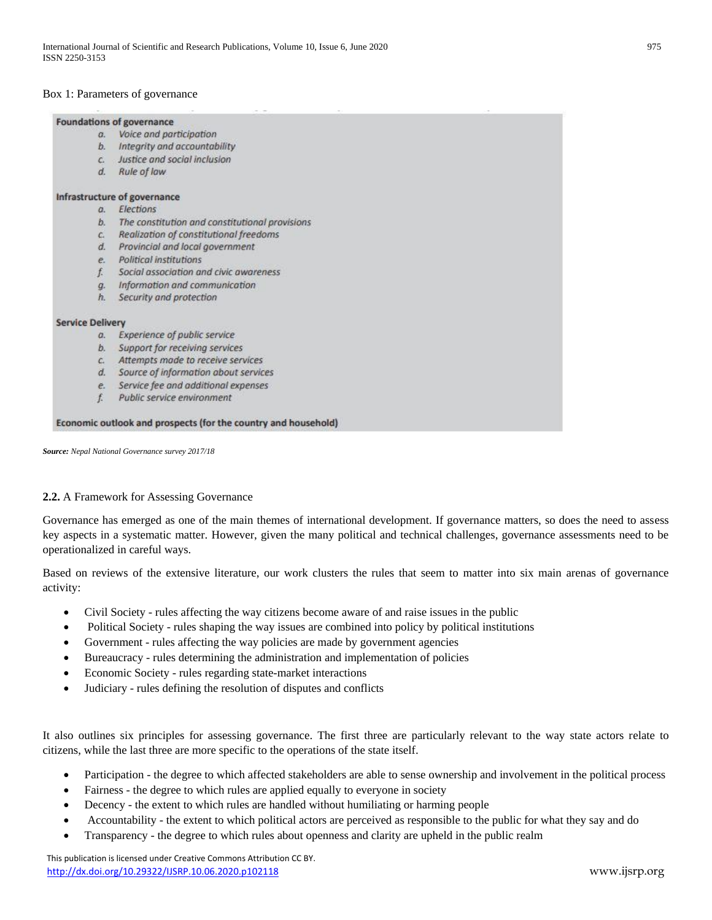## Box 1: Parameters of governance

#### **Foundations of governance**

- a. Voice and participation
- b. Integrity and accountability
- c. Justice and social inclusion
- d. Rule of law

#### Infrastructure of governance

- a. Elections
- b. The constitution and constitutional provisions
- c. Realization of constitutional freedoms
- d. Provincial and local government
- e. Political institutions
- f. Social association and civic awareness
- a. Information and communication
- h. Security and protection

#### **Service Delivery**

- a. Experience of public service
- b. Support for receiving services
- c. Attempts made to receive services
- d. Source of information about services
- e. Service fee and additional expenses
- Public service environment f.

#### Economic outlook and prospects (for the country and household)

*Source: Nepal National Governance survey 2017/18*

## **2.2.** A Framework for Assessing Governance

Governance has emerged as one of the main themes of international development. If governance matters, so does the need to assess key aspects in a systematic matter. However, given the many political and technical challenges, governance assessments need to be operationalized in careful ways.

Based on reviews of the extensive literature, our work clusters the rules that seem to matter into six main arenas of governance activity:

- Civil Society rules affecting the way citizens become aware of and raise issues in the public
- Political Society rules shaping the way issues are combined into policy by political institutions
- Government rules affecting the way policies are made by government agencies
- Bureaucracy rules determining the administration and implementation of policies
- Economic Society rules regarding state-market interactions
- Judiciary rules defining the resolution of disputes and conflicts

It also outlines six principles for assessing governance. The first three are particularly relevant to the way state actors relate to citizens, while the last three are more specific to the operations of the state itself.

- Participation the degree to which affected stakeholders are able to sense ownership and involvement in the political process
- Fairness the degree to which rules are applied equally to everyone in society
- Decency the extent to which rules are handled without humiliating or harming people
- Accountability the extent to which political actors are perceived as responsible to the public for what they say and do
- Transparency the degree to which rules about openness and clarity are upheld in the public realm

 This publication is licensed under Creative Commons Attribution CC BY. <http://dx.doi.org/10.29322/IJSRP.10.06.2020.p102118> www.ijsrp.org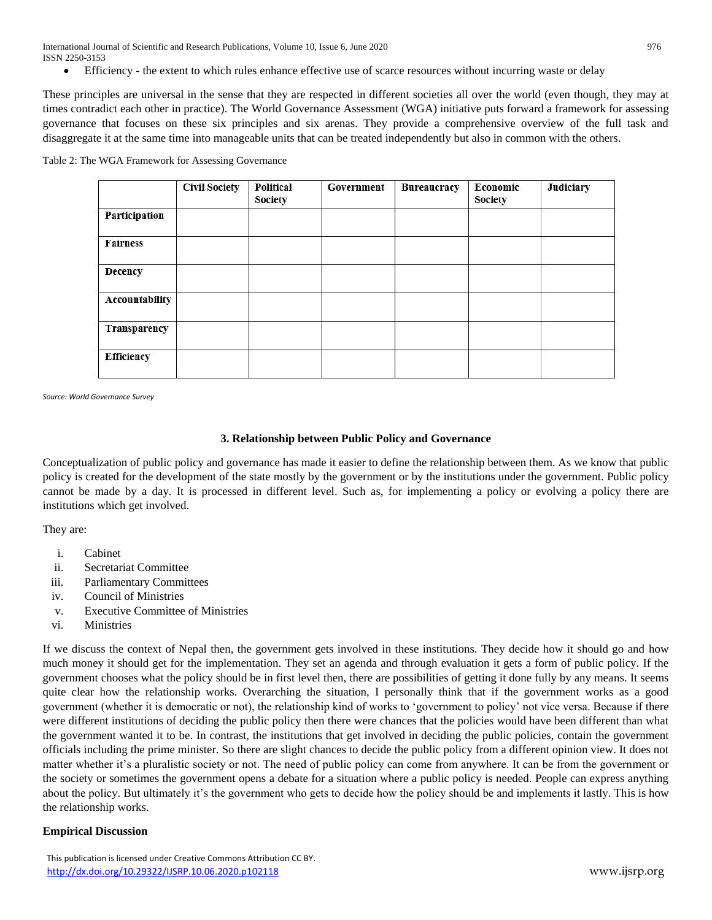International Journal of Scientific and Research Publications, Volume 10, Issue 6, June 2020 976 ISSN 2250-3153

Efficiency - the extent to which rules enhance effective use of scarce resources without incurring waste or delay

These principles are universal in the sense that they are respected in different societies all over the world (even though, they may at times contradict each other in practice). The World Governance Assessment (WGA) initiative puts forward a framework for assessing governance that focuses on these six principles and six arenas. They provide a comprehensive overview of the full task and disaggregate it at the same time into manageable units that can be treated independently but also in common with the others.

Table 2: The WGA Framework for Assessing Governance

| <b>Civil Society</b> | Political<br>Society | Government | <b>Bureaucracy</b> | Economic<br><b>Society</b> | Judiciary |
|----------------------|----------------------|------------|--------------------|----------------------------|-----------|
|                      |                      |            |                    |                            |           |
|                      |                      |            |                    |                            |           |
|                      |                      |            |                    |                            |           |
|                      |                      |            |                    |                            |           |
|                      |                      |            |                    |                            |           |
|                      |                      |            |                    |                            |           |
|                      |                      |            |                    |                            |           |

*Source: World Governance Survey*

## **3. Relationship between Public Policy and Governance**

Conceptualization of public policy and governance has made it easier to define the relationship between them. As we know that public policy is created for the development of the state mostly by the government or by the institutions under the government. Public policy cannot be made by a day. It is processed in different level. Such as, for implementing a policy or evolving a policy there are institutions which get involved.

They are:

- i. Cabinet
- ii. Secretariat Committee
- iii. Parliamentary Committees
- iv. Council of Ministries
- v. Executive Committee of Ministries
- vi. Ministries

If we discuss the context of Nepal then, the government gets involved in these institutions. They decide how it should go and how much money it should get for the implementation. They set an agenda and through evaluation it gets a form of public policy. If the government chooses what the policy should be in first level then, there are possibilities of getting it done fully by any means. It seems quite clear how the relationship works. Overarching the situation, I personally think that if the government works as a good government (whether it is democratic or not), the relationship kind of works to 'government to policy' not vice versa. Because if there were different institutions of deciding the public policy then there were chances that the policies would have been different than what the government wanted it to be. In contrast, the institutions that get involved in deciding the public policies, contain the government officials including the prime minister. So there are slight chances to decide the public policy from a different opinion view. It does not matter whether it's a pluralistic society or not. The need of public policy can come from anywhere. It can be from the government or the society or sometimes the government opens a debate for a situation where a public policy is needed. People can express anything about the policy. But ultimately it's the government who gets to decide how the policy should be and implements it lastly. This is how the relationship works.

# **Empirical Discussion**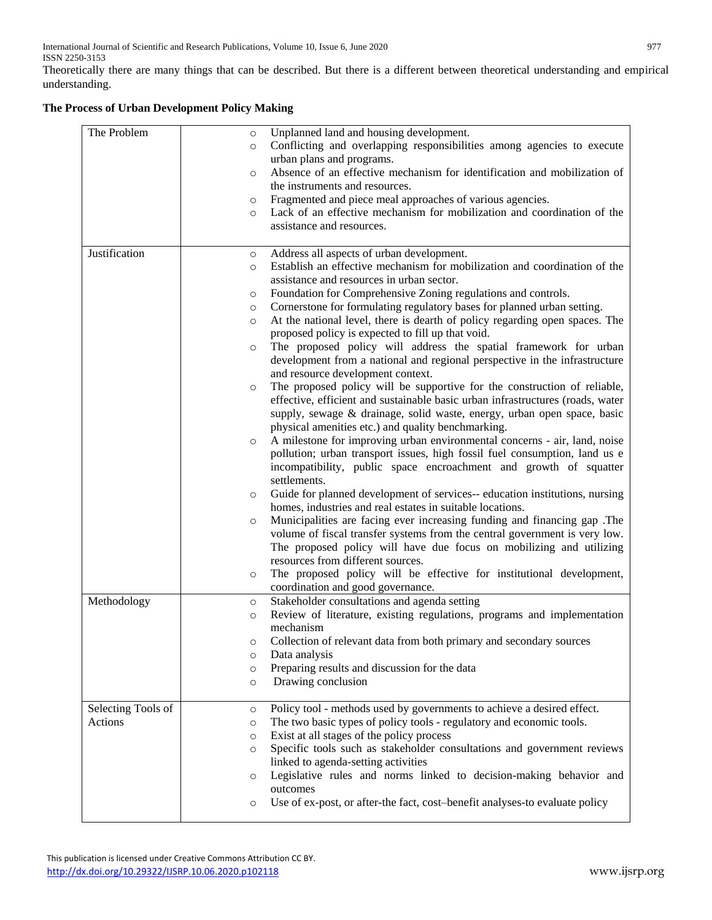Theoretically there are many things that can be described. But there is a different between theoretical understanding and empirical understanding.

|  |  |  | The Process of Urban Development Policy Making |
|--|--|--|------------------------------------------------|
|  |  |  |                                                |

| The Problem                   | Unplanned land and housing development.<br>$\circ$<br>Conflicting and overlapping responsibilities among agencies to execute<br>$\circ$<br>urban plans and programs.<br>Absence of an effective mechanism for identification and mobilization of<br>$\circ$<br>the instruments and resources.<br>Fragmented and piece meal approaches of various agencies.<br>O<br>Lack of an effective mechanism for mobilization and coordination of the<br>$\circ$<br>assistance and resources.                                                                                                                                                                                                                                                                                                                                                                                                                                                                                                                                                                                                                                                                                                                                                                                                                                                                                                                                                                                                                                                                                                                                                                                                                                                                                                                                                                |
|-------------------------------|---------------------------------------------------------------------------------------------------------------------------------------------------------------------------------------------------------------------------------------------------------------------------------------------------------------------------------------------------------------------------------------------------------------------------------------------------------------------------------------------------------------------------------------------------------------------------------------------------------------------------------------------------------------------------------------------------------------------------------------------------------------------------------------------------------------------------------------------------------------------------------------------------------------------------------------------------------------------------------------------------------------------------------------------------------------------------------------------------------------------------------------------------------------------------------------------------------------------------------------------------------------------------------------------------------------------------------------------------------------------------------------------------------------------------------------------------------------------------------------------------------------------------------------------------------------------------------------------------------------------------------------------------------------------------------------------------------------------------------------------------------------------------------------------------------------------------------------------------|
| Justification                 | Address all aspects of urban development.<br>$\circ$<br>Establish an effective mechanism for mobilization and coordination of the<br>$\circ$<br>assistance and resources in urban sector.<br>Foundation for Comprehensive Zoning regulations and controls.<br>$\circ$<br>Cornerstone for formulating regulatory bases for planned urban setting.<br>$\circ$<br>At the national level, there is dearth of policy regarding open spaces. The<br>$\circ$<br>proposed policy is expected to fill up that void.<br>The proposed policy will address the spatial framework for urban<br>$\circ$<br>development from a national and regional perspective in the infrastructure<br>and resource development context.<br>The proposed policy will be supportive for the construction of reliable,<br>$\circ$<br>effective, efficient and sustainable basic urban infrastructures (roads, water<br>supply, sewage & drainage, solid waste, energy, urban open space, basic<br>physical amenities etc.) and quality benchmarking.<br>A milestone for improving urban environmental concerns - air, land, noise<br>$\circ$<br>pollution; urban transport issues, high fossil fuel consumption, land us e<br>incompatibility, public space encroachment and growth of squatter<br>settlements.<br>Guide for planned development of services-- education institutions, nursing<br>$\circ$<br>homes, industries and real estates in suitable locations.<br>Municipalities are facing ever increasing funding and financing gap .The<br>$\circ$<br>volume of fiscal transfer systems from the central government is very low.<br>The proposed policy will have due focus on mobilizing and utilizing<br>resources from different sources.<br>The proposed policy will be effective for institutional development,<br>$\circ$<br>coordination and good governance. |
| Methodology                   | Stakeholder consultations and agenda setting<br>$\circ$<br>Review of literature, existing regulations, programs and implementation<br>$\circ$<br>mechanism<br>Collection of relevant data from both primary and secondary sources<br>Data analysis<br>O<br>Preparing results and discussion for the data<br>$\circ$<br>Drawing conclusion<br>$\circ$                                                                                                                                                                                                                                                                                                                                                                                                                                                                                                                                                                                                                                                                                                                                                                                                                                                                                                                                                                                                                                                                                                                                                                                                                                                                                                                                                                                                                                                                                              |
| Selecting Tools of<br>Actions | Policy tool - methods used by governments to achieve a desired effect.<br>O<br>The two basic types of policy tools - regulatory and economic tools.<br>$\circ$<br>Exist at all stages of the policy process<br>O<br>Specific tools such as stakeholder consultations and government reviews<br>O<br>linked to agenda-setting activities<br>Legislative rules and norms linked to decision-making behavior and<br>O<br>outcomes<br>Use of ex-post, or after-the fact, cost-benefit analyses-to evaluate policy<br>$\circ$                                                                                                                                                                                                                                                                                                                                                                                                                                                                                                                                                                                                                                                                                                                                                                                                                                                                                                                                                                                                                                                                                                                                                                                                                                                                                                                          |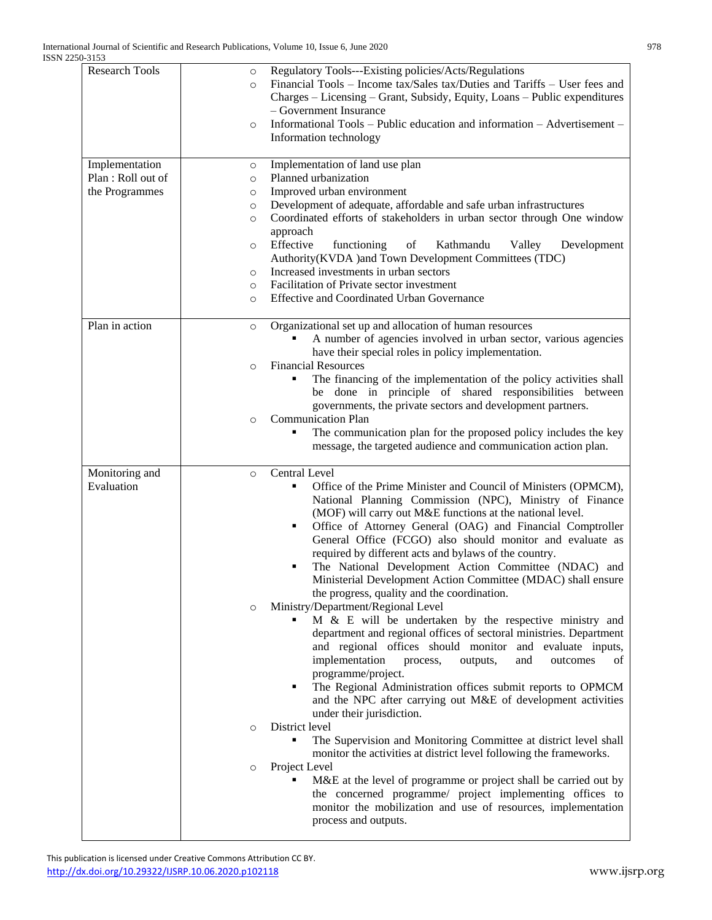| <b>Research Tools</b>                                 | Regulatory Tools---Existing policies/Acts/Regulations<br>O<br>Financial Tools - Income tax/Sales tax/Duties and Tariffs - User fees and<br>$\circ$<br>Charges - Licensing - Grant, Subsidy, Equity, Loans - Public expenditures<br>- Government Insurance<br>Informational Tools – Public education and information – Advertisement –<br>$\circ$<br>Information technology                                                                                                                                                                                                                                                                                                                                                                                                                                                                                                                                                                                                                                                                                                                                                                                                                                                                                                                                                                                                                                                                                                                                                            |
|-------------------------------------------------------|---------------------------------------------------------------------------------------------------------------------------------------------------------------------------------------------------------------------------------------------------------------------------------------------------------------------------------------------------------------------------------------------------------------------------------------------------------------------------------------------------------------------------------------------------------------------------------------------------------------------------------------------------------------------------------------------------------------------------------------------------------------------------------------------------------------------------------------------------------------------------------------------------------------------------------------------------------------------------------------------------------------------------------------------------------------------------------------------------------------------------------------------------------------------------------------------------------------------------------------------------------------------------------------------------------------------------------------------------------------------------------------------------------------------------------------------------------------------------------------------------------------------------------------|
| Implementation<br>Plan: Roll out of<br>the Programmes | Implementation of land use plan<br>$\circ$<br>Planned urbanization<br>$\circ$<br>Improved urban environment<br>$\circ$<br>Development of adequate, affordable and safe urban infrastructures<br>$\circ$<br>Coordinated efforts of stakeholders in urban sector through One window<br>$\circ$<br>approach<br>Effective<br>functioning<br>of<br>Kathmandu<br>Valley<br>Development<br>$\circ$<br>Authority(KVDA) and Town Development Committees (TDC)<br>Increased investments in urban sectors<br>$\circ$<br>Facilitation of Private sector investment<br>$\circ$<br>Effective and Coordinated Urban Governance<br>$\circ$                                                                                                                                                                                                                                                                                                                                                                                                                                                                                                                                                                                                                                                                                                                                                                                                                                                                                                            |
| Plan in action                                        | Organizational set up and allocation of human resources<br>$\circ$<br>A number of agencies involved in urban sector, various agencies<br>have their special roles in policy implementation.<br><b>Financial Resources</b><br>$\circ$<br>The financing of the implementation of the policy activities shall<br>be done in principle of shared responsibilities between<br>governments, the private sectors and development partners.<br><b>Communication Plan</b><br>$\circ$<br>The communication plan for the proposed policy includes the key<br>п<br>message, the targeted audience and communication action plan.                                                                                                                                                                                                                                                                                                                                                                                                                                                                                                                                                                                                                                                                                                                                                                                                                                                                                                                  |
| Monitoring and<br>Evaluation                          | Central Level<br>$\circ$<br>Office of the Prime Minister and Council of Ministers (OPMCM),<br>٠<br>National Planning Commission (NPC), Ministry of Finance<br>(MOF) will carry out M&E functions at the national level.<br>Office of Attorney General (OAG) and Financial Comptroller<br>General Office (FCGO) also should monitor and evaluate as<br>required by different acts and bylaws of the country.<br>The National Development Action Committee (NDAC) and<br>٠<br>Ministerial Development Action Committee (MDAC) shall ensure<br>the progress, quality and the coordination.<br>Ministry/Department/Regional Level<br>$\circ$<br>M & E will be undertaken by the respective ministry and<br>department and regional offices of sectoral ministries. Department<br>and regional offices should monitor and evaluate inputs,<br>implementation<br>outputs,<br>and<br>outcomes<br>process,<br>οf<br>programme/project.<br>The Regional Administration offices submit reports to OPMCM<br>٠<br>and the NPC after carrying out M&E of development activities<br>under their jurisdiction.<br>District level<br>$\circ$<br>Ξ<br>The Supervision and Monitoring Committee at district level shall<br>monitor the activities at district level following the frameworks.<br>Project Level<br>$\circ$<br>M&E at the level of programme or project shall be carried out by<br>п<br>the concerned programme/ project implementing offices to<br>monitor the mobilization and use of resources, implementation<br>process and outputs. |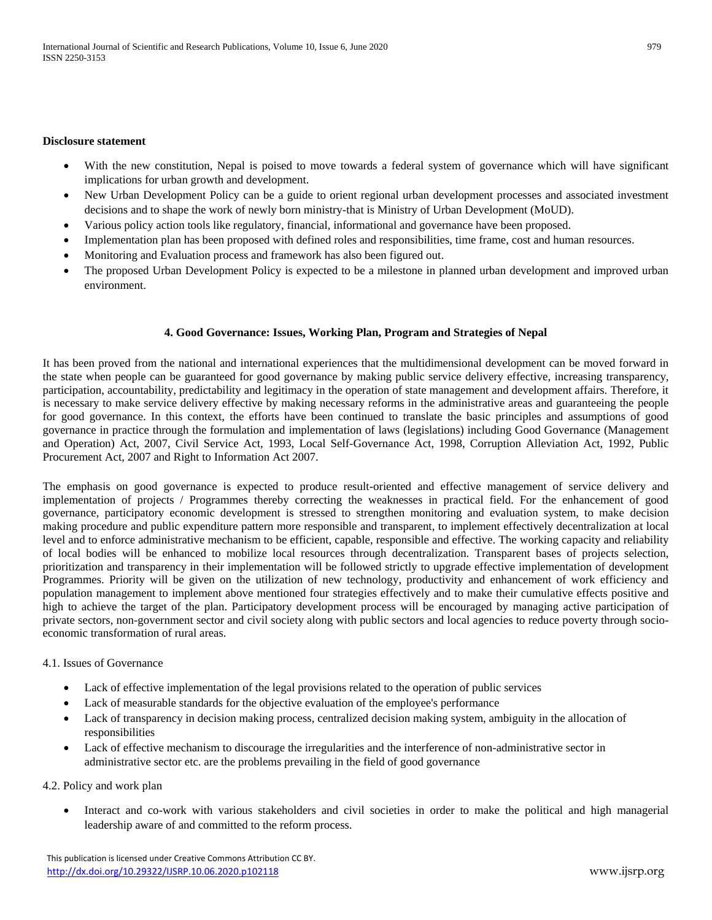## **Disclosure statement**

- With the new constitution, Nepal is poised to move towards a federal system of governance which will have significant implications for urban growth and development.
- New Urban Development Policy can be a guide to orient regional urban development processes and associated investment decisions and to shape the work of newly born ministry-that is Ministry of Urban Development (MoUD).
- Various policy action tools like regulatory, financial, informational and governance have been proposed.
- Implementation plan has been proposed with defined roles and responsibilities, time frame, cost and human resources.
- Monitoring and Evaluation process and framework has also been figured out.
- The proposed Urban Development Policy is expected to be a milestone in planned urban development and improved urban environment.

## **4. Good Governance: Issues, Working Plan, Program and Strategies of Nepal**

It has been proved from the national and international experiences that the multidimensional development can be moved forward in the state when people can be guaranteed for good governance by making public service delivery effective, increasing transparency, participation, accountability, predictability and legitimacy in the operation of state management and development affairs. Therefore, it is necessary to make service delivery effective by making necessary reforms in the administrative areas and guaranteeing the people for good governance. In this context, the efforts have been continued to translate the basic principles and assumptions of good governance in practice through the formulation and implementation of laws (legislations) including Good Governance (Management and Operation) Act, 2007, Civil Service Act, 1993, Local Self-Governance Act, 1998, Corruption Alleviation Act, 1992, Public Procurement Act, 2007 and Right to Information Act 2007.

The emphasis on good governance is expected to produce result-oriented and effective management of service delivery and implementation of projects / Programmes thereby correcting the weaknesses in practical field. For the enhancement of good governance, participatory economic development is stressed to strengthen monitoring and evaluation system, to make decision making procedure and public expenditure pattern more responsible and transparent, to implement effectively decentralization at local level and to enforce administrative mechanism to be efficient, capable, responsible and effective. The working capacity and reliability of local bodies will be enhanced to mobilize local resources through decentralization. Transparent bases of projects selection, prioritization and transparency in their implementation will be followed strictly to upgrade effective implementation of development Programmes. Priority will be given on the utilization of new technology, productivity and enhancement of work efficiency and population management to implement above mentioned four strategies effectively and to make their cumulative effects positive and high to achieve the target of the plan. Participatory development process will be encouraged by managing active participation of private sectors, non-government sector and civil society along with public sectors and local agencies to reduce poverty through socioeconomic transformation of rural areas.

## 4.1. Issues of Governance

- Lack of effective implementation of the legal provisions related to the operation of public services
- Lack of measurable standards for the objective evaluation of the employee's performance
- Lack of transparency in decision making process, centralized decision making system, ambiguity in the allocation of responsibilities
- Lack of effective mechanism to discourage the irregularities and the interference of non-administrative sector in administrative sector etc. are the problems prevailing in the field of good governance

## 4.2. Policy and work plan

 Interact and co-work with various stakeholders and civil societies in order to make the political and high managerial leadership aware of and committed to the reform process.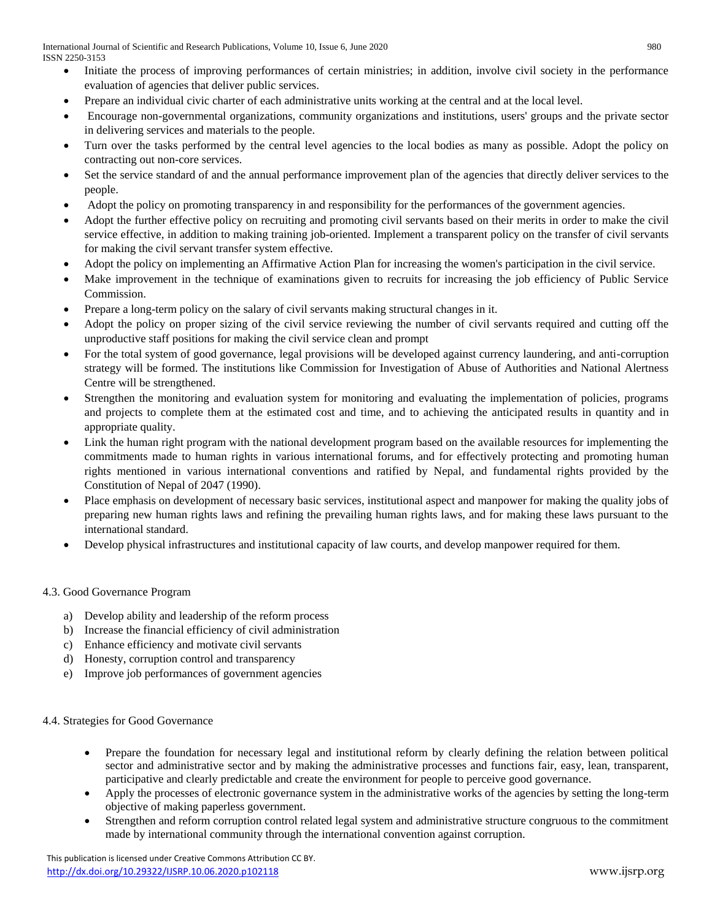International Journal of Scientific and Research Publications, Volume 10, Issue 6, June 2020 980 ISSN 2250-3153

- Initiate the process of improving performances of certain ministries; in addition, involve civil society in the performance evaluation of agencies that deliver public services.
- Prepare an individual civic charter of each administrative units working at the central and at the local level.
- Encourage non-governmental organizations, community organizations and institutions, users' groups and the private sector in delivering services and materials to the people.
- Turn over the tasks performed by the central level agencies to the local bodies as many as possible. Adopt the policy on contracting out non-core services.
- Set the service standard of and the annual performance improvement plan of the agencies that directly deliver services to the people.
- Adopt the policy on promoting transparency in and responsibility for the performances of the government agencies.
- Adopt the further effective policy on recruiting and promoting civil servants based on their merits in order to make the civil service effective, in addition to making training job-oriented. Implement a transparent policy on the transfer of civil servants for making the civil servant transfer system effective.
- Adopt the policy on implementing an Affirmative Action Plan for increasing the women's participation in the civil service.
- Make improvement in the technique of examinations given to recruits for increasing the job efficiency of Public Service Commission.
- Prepare a long-term policy on the salary of civil servants making structural changes in it.
- Adopt the policy on proper sizing of the civil service reviewing the number of civil servants required and cutting off the unproductive staff positions for making the civil service clean and prompt
- For the total system of good governance, legal provisions will be developed against currency laundering, and anti-corruption strategy will be formed. The institutions like Commission for Investigation of Abuse of Authorities and National Alertness Centre will be strengthened.
- Strengthen the monitoring and evaluation system for monitoring and evaluating the implementation of policies, programs and projects to complete them at the estimated cost and time, and to achieving the anticipated results in quantity and in appropriate quality.
- Link the human right program with the national development program based on the available resources for implementing the commitments made to human rights in various international forums, and for effectively protecting and promoting human rights mentioned in various international conventions and ratified by Nepal, and fundamental rights provided by the Constitution of Nepal of 2047 (1990).
- Place emphasis on development of necessary basic services, institutional aspect and manpower for making the quality jobs of preparing new human rights laws and refining the prevailing human rights laws, and for making these laws pursuant to the international standard.
- Develop physical infrastructures and institutional capacity of law courts, and develop manpower required for them.

# 4.3. Good Governance Program

- a) Develop ability and leadership of the reform process
- b) Increase the financial efficiency of civil administration
- c) Enhance efficiency and motivate civil servants
- d) Honesty, corruption control and transparency
- e) Improve job performances of government agencies

# 4.4. Strategies for Good Governance

- Prepare the foundation for necessary legal and institutional reform by clearly defining the relation between political sector and administrative sector and by making the administrative processes and functions fair, easy, lean, transparent, participative and clearly predictable and create the environment for people to perceive good governance.
- Apply the processes of electronic governance system in the administrative works of the agencies by setting the long-term objective of making paperless government.
- Strengthen and reform corruption control related legal system and administrative structure congruous to the commitment made by international community through the international convention against corruption.